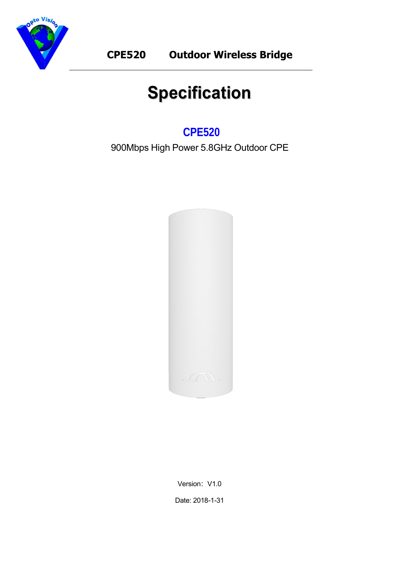

# **Specification**

# **CPE520**

900Mbps High Power 5.8GHz Outdoor CPE



Version: V1.0 Date: 2018-1-31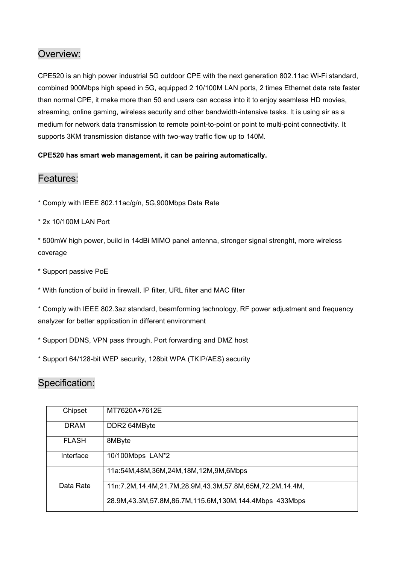### Overview:

CPE520 is an high power industrial 5G outdoor CPE with the next generation 802.11ac Wi-Fi standard, combined 900Mbps high speed in 5G, equipped 2 10/100M LAN ports, 2 times Ethernet data rate faster than normal CPE, it make more than 50 end users can access into it to enjoy seamless HD movies, streaming, online gaming, wireless security and other bandwidth-intensive tasks. It is using air as a medium for network data transmission to remote point-to-point or point to multi-point connectivity. It supports 3KM transmission distance with two-way traffic flow up to 140M.

#### **CPE520 has smart web management, it can be pairing automatically.**

#### Features:

\* Comply with IEEE 802.11ac/g/n, 5G,900Mbps Data Rate

\* 2x 10/100M LAN Port

\* 500mW high power, build in 14dBi MIMO panel antenna, stronger signal strenght, more wireless coverage

\* Support passive PoE

\* With function of build in firewall, IP filter, URL filter and MAC filter

\* Comply with IEEE 802.3az standard, beamforming technology, RF power adjustment and frequency analyzer for better application in different environment

\* Support DDNS, VPN pass through, Port forwarding and DMZ host

\* Support 64/128-bit WEP security, 128bit WPA (TKIP/AES) security

## Specification:

| Chipset      | MT7620A+7612E                                               |  |  |
|--------------|-------------------------------------------------------------|--|--|
| <b>DRAM</b>  | DDR2 64MByte                                                |  |  |
| <b>FLASH</b> | 8MByte                                                      |  |  |
| Interface    | 10/100Mbps LAN*2                                            |  |  |
|              | 11a:54M,48M,36M,24M,18M,12M,9M,6Mbps                        |  |  |
| Data Rate    | 11n:7.2M,14.4M,21.7M,28.9M,43.3M,57.8M,65M,72.2M,14.4M,     |  |  |
|              | 28.9M, 43.3M, 57.8M, 86.7M, 115.6M, 130M, 144.4Mbps 433Mbps |  |  |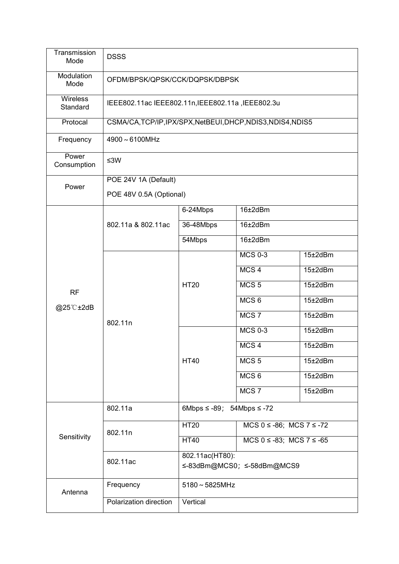| Transmission<br>Mode   | <b>DSSS</b>                                           |                                               |                                   |                 |  |
|------------------------|-------------------------------------------------------|-----------------------------------------------|-----------------------------------|-----------------|--|
| Modulation<br>Mode     | OFDM/BPSK/QPSK/CCK/DQPSK/DBPSK                        |                                               |                                   |                 |  |
| Wireless<br>Standard   | IEEE802.11ac IEEE802.11n, IEEE802.11a, IEEE802.3u     |                                               |                                   |                 |  |
| Protocal               | CSMA/CA,TCP/IP,IPX/SPX,NetBEUI,DHCP,NDIS3,NDIS4,NDIS5 |                                               |                                   |                 |  |
| Frequency              | 4900~6100MHz                                          |                                               |                                   |                 |  |
| Power<br>Consumption   | ≤3W                                                   |                                               |                                   |                 |  |
| Power                  | POE 24V 1A (Default)                                  |                                               |                                   |                 |  |
|                        | POE 48V 0.5A (Optional)                               |                                               |                                   |                 |  |
|                        | 802.11a & 802.11ac                                    | 6-24Mbps                                      | 16±2dBm                           |                 |  |
|                        |                                                       | 36-48Mbps                                     | 16±2dBm                           |                 |  |
|                        |                                                       | 54Mbps                                        | 16±2dBm                           |                 |  |
|                        | 802.11n                                               | <b>HT20</b>                                   | <b>MCS 0-3</b>                    | $15\pm2$ dBm    |  |
|                        |                                                       |                                               | MCS <sub>4</sub>                  | 15±2dBm         |  |
| <b>RF</b><br>@25°C±2dB |                                                       |                                               | MCS <sub>5</sub>                  | 15±2dBm         |  |
|                        |                                                       |                                               | MCS <sub>6</sub>                  | $15\pm2$ dBm    |  |
|                        |                                                       |                                               | MCS <sub>7</sub>                  | 15±2dBm         |  |
|                        |                                                       | <b>HT40</b>                                   | <b>MCS 0-3</b>                    | 15±2dBm         |  |
|                        |                                                       |                                               | MCS <sub>4</sub>                  | $15\pm2$ d $Bm$ |  |
|                        |                                                       |                                               | MCS <sub>5</sub>                  | $15\pm2$ dBm    |  |
|                        |                                                       |                                               | MCS <sub>6</sub>                  | $15\pm2$ dBm    |  |
|                        |                                                       |                                               | MCS <sub>7</sub>                  | $15\pm2$ dBm    |  |
| Sensitivity            | 802.11a                                               | 6Mbps $\leq$ -89; 54Mbps $\leq$ -72           |                                   |                 |  |
|                        | 802.11n                                               | <b>HT20</b>                                   | $MCS 0 \le -86$ ; $MCS 7 \le -72$ |                 |  |
|                        |                                                       | <b>HT40</b>                                   | $MCS 0 \le -83$ ; $MCS 7 \le -65$ |                 |  |
|                        | 802.11ac                                              | 802.11ac(HT80):<br>≤-83dBm@MCS0; ≤-58dBm@MCS9 |                                   |                 |  |
| Antenna                | Frequency                                             | $5180 \sim 5825$ MHz                          |                                   |                 |  |
|                        | Polarization direction                                | Vertical                                      |                                   |                 |  |